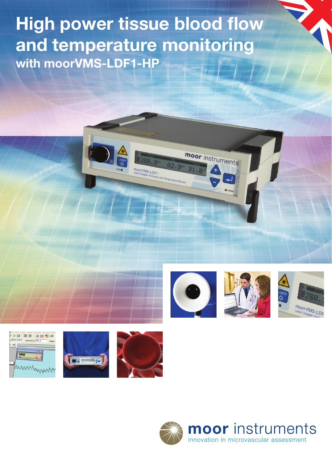**High power tissue blood flow and temperature monitoring with moorVMS-LDF1-HP**